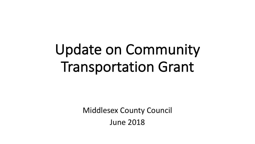# Update on Community Transportation Grant

**Middlesex County Council** June 2018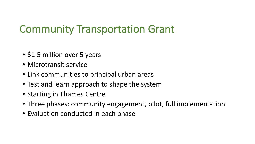## **Community Transportation Grant**

- \$1.5 million over 5 years
- Microtransit service
- Link communities to principal urban areas
- Test and learn approach to shape the system
- Starting in Thames Centre
- Three phases: community engagement, pilot, full implementation
- Evaluation conducted in each phase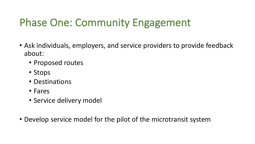# Phase One: Community Engagement

- Ask individuals, employers, and service providers to provide feedback about:
	- Proposed routes
	- Stops
	- Destinations
	- Fares
	- Service delivery model
- Develop service model for the pilot of the microtransit system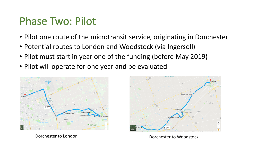#### Phase Two: Pilot

- Pilot one route of the microtransit service, originating in Dorchester
- Potential routes to London and Woodstock (via Ingersoll)
- Pilot must start in year one of the funding (before May 2019)
- Pilot will operate for one year and be evaluated





Dorchester to London **Dorchester** to Woodstock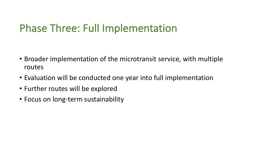## Phase Three: Full Implementation

- Broader implementation of the microtransit service, with multiple routes
- Evaluation will be conducted one year into full implementation
- Further routes will be explored
- Focus on long-term sustainability